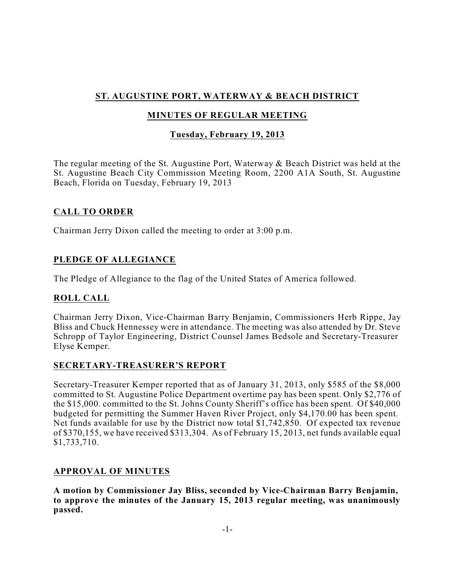# **ST. AUGUSTINE PORT, WATERWAY & BEACH DISTRICT**

# **MINUTES OF REGULAR MEETING**

# **Tuesday, February 19, 2013**

The regular meeting of the St. Augustine Port, Waterway & Beach District was held at the St. Augustine Beach City Commission Meeting Room, 2200 A1A South, St. Augustine Beach, Florida on Tuesday, February 19, 2013

# **CALL TO ORDER**

Chairman Jerry Dixon called the meeting to order at 3:00 p.m.

# **PLEDGE OF ALLEGIANCE**

The Pledge of Allegiance to the flag of the United States of America followed.

# **ROLL CALL**

Chairman Jerry Dixon, Vice-Chairman Barry Benjamin, Commissioners Herb Rippe, Jay Bliss and Chuck Hennessey were in attendance. The meeting was also attended by Dr. Steve Schropp of Taylor Engineering, District Counsel James Bedsole and Secretary-Treasurer Elyse Kemper.

# **SECRETARY-TREASURER'S REPORT**

Secretary-Treasurer Kemper reported that as of January 31, 2013, only \$585 of the \$8,000 committed to St. Augustine Police Department overtime pay has been spent. Only \$2,776 of the \$15,000. committed to the St. Johns County Sheriff's office has been spent. Of \$40,000 budgeted for permitting the Summer Haven River Project, only \$4,170.00 has been spent. Net funds available for use by the District now total \$1,742,850. Of expected tax revenue of \$370,155, we have received \$313,304. As of February 15, 2013, net funds available equal \$1,733,710.

# **APPROVAL OF MINUTES**

**A motion by Commissioner Jay Bliss, seconded by Vice-Chairman Barry Benjamin, to approve the minutes of the January 15, 2013 regular meeting, was unanimously passed.**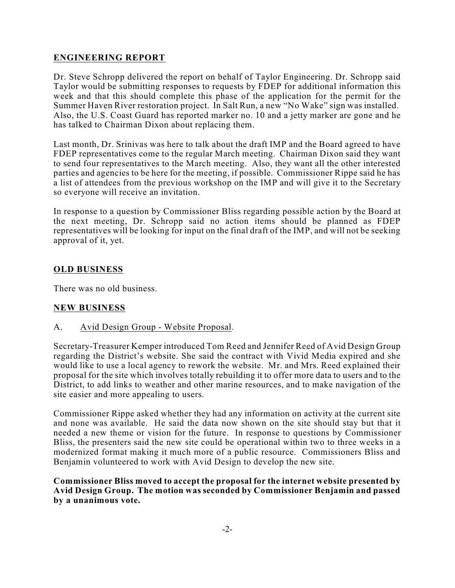# **ENGINEERING REPORT**

Dr. Steve Schropp delivered the report on behalf of Taylor Engineering. Dr. Schropp said Taylor would be submitting responses to requests by FDEP for additional information this week and that this should complete this phase of the application for the permit for the Summer Haven River restoration project. In Salt Run, a new "No Wake" sign was installed. Also, the U.S. Coast Guard has reported marker no. 10 and a jetty marker are gone and he has talked to Chairman Dixon about replacing them.

Last month, Dr. Srinivas was here to talk about the draft IMP and the Board agreed to have FDEP representatives come to the regular March meeting. Chairman Dixon said they want to send four representatives to the March meeting. Also, they want all the other interested parties and agencies to be here for the meeting, if possible. Commissioner Rippe said he has a list of attendees from the previous workshop on the IMP and will give it to the Secretary so everyone will receive an invitation.

In response to a question by Commissioner Bliss regarding possible action by the Board at the next meeting, Dr. Schropp said no action items should be planned as FDEP representatives will be looking for input on the final draft of the IMP, and will not be seeking approval of it, yet.

# **OLD BUSINESS**

There was no old business.

# **NEW BUSINESS**

A. Avid Design Group - Website Proposal.

Secretary-Treasurer Kemper introduced Tom Reed and Jennifer Reed of Avid Design Group regarding the District's website. She said the contract with Vivid Media expired and she would like to use a local agency to rework the website. Mr. and Mrs. Reed explained their proposal for the site which involves totally rebuilding it to offer more data to users and to the District, to add links to weather and other marine resources, and to make navigation of the site easier and more appealing to users.

Commissioner Rippe asked whether they had any information on activity at the current site and none was available. He said the data now shown on the site should stay but that it needed a new theme or vision for the future. In response to questions by Commissioner Bliss, the presenters said the new site could be operational within two to three weeks in a modernized format making it much more of a public resource. Commissioners Bliss and Benjamin volunteered to work with Avid Design to develop the new site.

#### **Commissioner Bliss moved to accept the proposal for the internet website presented by Avid Design Group. The motion was seconded by Commissioner Benjamin and passed by a unanimous vote.**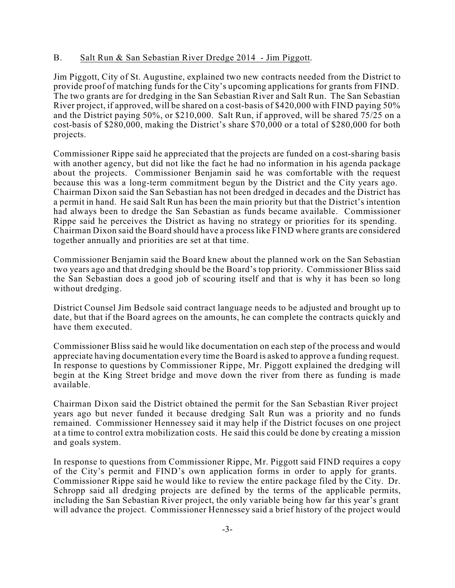#### B. Salt Run & San Sebastian River Dredge 2014 - Jim Piggott.

Jim Piggott, City of St. Augustine, explained two new contracts needed from the District to provide proof of matching funds for the City's upcoming applications for grants from FIND. The two grants are for dredging in the San Sebastian River and Salt Run. The San Sebastian River project, if approved, will be shared on a cost-basis of \$420,000 with FIND paying 50% and the District paying 50%, or \$210,000. Salt Run, if approved, will be shared 75/25 on a cost-basis of \$280,000, making the District's share \$70,000 or a total of \$280,000 for both projects.

Commissioner Rippe said he appreciated that the projects are funded on a cost-sharing basis with another agency, but did not like the fact he had no information in his agenda package about the projects. Commissioner Benjamin said he was comfortable with the request because this was a long-term commitment begun by the District and the City years ago. Chairman Dixon said the San Sebastian has not been dredged in decades and the District has a permit in hand. He said Salt Run has been the main priority but that the District's intention had always been to dredge the San Sebastian as funds became available. Commissioner Rippe said he perceives the District as having no strategy or priorities for its spending. Chairman Dixon said the Board should have a processlike FIND where grants are considered together annually and priorities are set at that time.

Commissioner Benjamin said the Board knew about the planned work on the San Sebastian two years ago and that dredging should be the Board's top priority. Commissioner Bliss said the San Sebastian does a good job of scouring itself and that is why it has been so long without dredging.

District Counsel Jim Bedsole said contract language needs to be adjusted and brought up to date, but that if the Board agrees on the amounts, he can complete the contracts quickly and have them executed.

Commissioner Bliss said he would like documentation on each step of the process and would appreciate having documentation every time the Board is asked to approve a funding request. In response to questions by Commissioner Rippe, Mr. Piggott explained the dredging will begin at the King Street bridge and move down the river from there as funding is made available.

Chairman Dixon said the District obtained the permit for the San Sebastian River project years ago but never funded it because dredging Salt Run was a priority and no funds remained. Commissioner Hennessey said it may help if the District focuses on one project at a time to control extra mobilization costs. He said this could be done by creating a mission and goals system.

In response to questions from Commissioner Rippe, Mr. Piggott said FIND requires a copy of the City's permit and FIND's own application forms in order to apply for grants. Commissioner Rippe said he would like to review the entire package filed by the City. Dr. Schropp said all dredging projects are defined by the terms of the applicable permits, including the San Sebastian River project, the only variable being how far this year's grant will advance the project. Commissioner Hennessey said a brief history of the project would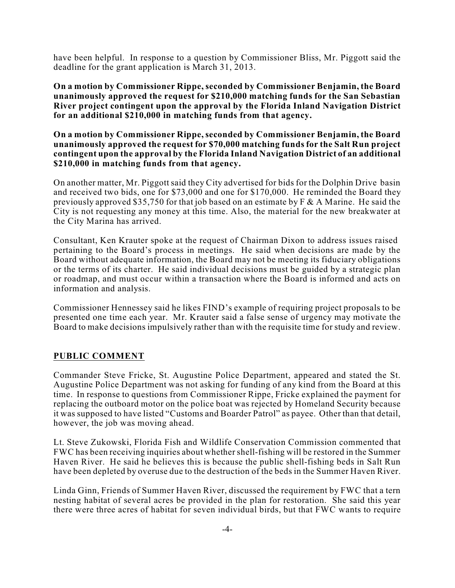have been helpful. In response to a question by Commissioner Bliss, Mr. Piggott said the deadline for the grant application is March 31, 2013.

**On a motion by Commissioner Rippe, seconded by Commissioner Benjamin, the Board unanimously approved the request for \$210,000 matching funds for the San Sebastian River project contingent upon the approval by the Florida Inland Navigation District for an additional \$210,000 in matching funds from that agency.**

**On a motion by Commissioner Rippe,seconded by Commissioner Benjamin, the Board unanimously approved the request for \$70,000 matching funds for the Salt Run project contingent upon the approval by the Florida Inland Navigation District of an additional \$210,000 in matching funds from that agency.**

On another matter, Mr. Piggott said they City advertised for bids for the Dolphin Drive basin and received two bids, one for \$73,000 and one for \$170,000. He reminded the Board they previously approved \$35,750 for that job based on an estimate by  $F \& A$  Marine. He said the City is not requesting any money at this time. Also, the material for the new breakwater at the City Marina has arrived.

Consultant, Ken Krauter spoke at the request of Chairman Dixon to address issues raised pertaining to the Board's process in meetings. He said when decisions are made by the Board without adequate information, the Board may not be meeting its fiduciary obligations or the terms of its charter. He said individual decisions must be guided by a strategic plan or roadmap, and must occur within a transaction where the Board is informed and acts on information and analysis.

Commissioner Hennessey said he likes FIND's example of requiring project proposals to be presented one time each year. Mr. Krauter said a false sense of urgency may motivate the Board to make decisions impulsively rather than with the requisite time for study and review.

#### **PUBLIC COMMENT**

Commander Steve Fricke, St. Augustine Police Department, appeared and stated the St. Augustine Police Department was not asking for funding of any kind from the Board at this time. In response to questions from Commissioner Rippe, Fricke explained the payment for replacing the outboard motor on the police boat was rejected by Homeland Security because it was supposed to have listed "Customs and Boarder Patrol" as payee. Other than that detail, however, the job was moving ahead.

Lt. Steve Zukowski, Florida Fish and Wildlife Conservation Commission commented that FWC has been receiving inquiries about whethershell-fishing will be restored in the Summer Haven River. He said he believes this is because the public shell-fishing beds in Salt Run have been depleted by overuse due to the destruction of the beds in the Summer Haven River.

Linda Ginn, Friends of Summer Haven River, discussed the requirement by FWC that a tern nesting habitat of several acres be provided in the plan for restoration. She said this year there were three acres of habitat for seven individual birds, but that FWC wants to require